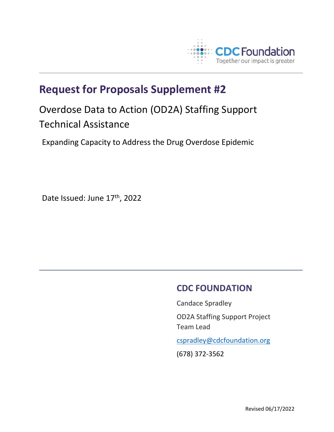

## **Request for Proposals Supplement #2**

## Overdose Data to Action (OD2A) Staffing Support Technical Assistance

Expanding Capacity to Address the Drug Overdose Epidemic

Date Issued: June 17th, 2022

## **CDC FOUNDATION**

Candace Spradley OD2A Staffing Support Project Team Lead

[cspradley@cdcfoundation.org](mailto:cspradley@cdcfoundation.org)

(678) 372-3562